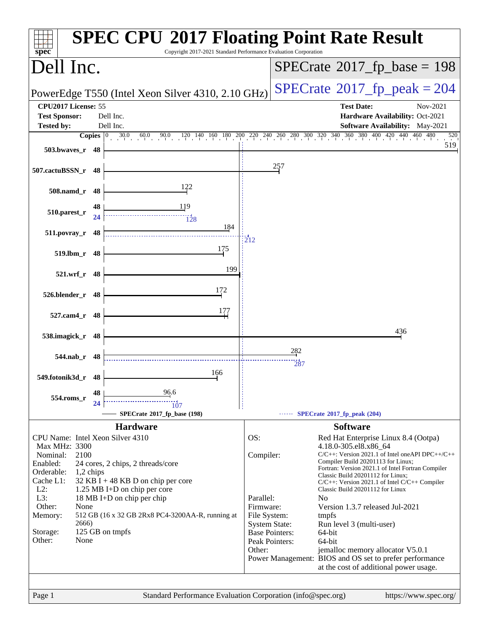| $spec^*$                                                                   |                       | <b>SPEC CPU®2017 Floating Point Rate Result</b><br>Copyright 2017-2021 Standard Performance Evaluation Corporation                                                                     |                                                                                                                     |                                                                                                                                                                                                                                                                                                    |
|----------------------------------------------------------------------------|-----------------------|----------------------------------------------------------------------------------------------------------------------------------------------------------------------------------------|---------------------------------------------------------------------------------------------------------------------|----------------------------------------------------------------------------------------------------------------------------------------------------------------------------------------------------------------------------------------------------------------------------------------------------|
| Dell Inc.                                                                  |                       |                                                                                                                                                                                        |                                                                                                                     | $SPECrate^{\circ}2017$ fp base = 198                                                                                                                                                                                                                                                               |
|                                                                            |                       | PowerEdge T550 (Intel Xeon Silver 4310, 2.10 GHz)                                                                                                                                      |                                                                                                                     | $SPECTate$ <sup>®</sup> 2017_fp_peak = 204                                                                                                                                                                                                                                                         |
| CPU2017 License: 55<br><b>Test Sponsor:</b>                                |                       | Dell Inc.                                                                                                                                                                              |                                                                                                                     | <b>Test Date:</b><br>Nov-2021<br>Hardware Availability: Oct-2021                                                                                                                                                                                                                                   |
| <b>Tested by:</b>                                                          |                       | Dell Inc.                                                                                                                                                                              |                                                                                                                     | <b>Software Availability:</b> May-2021                                                                                                                                                                                                                                                             |
|                                                                            |                       | <b>Copies</b> $\begin{bmatrix} 0 & 30.0 & 60.0 & 90.0 & 120 & 140 & 160 & 180 & 200 & 220 & 240 & 260 & 280 & 300 & 320 & 340 & 360 & 380 & 400 & 420 & 440 & 460 & 480 \end{bmatrix}$ |                                                                                                                     | 520                                                                                                                                                                                                                                                                                                |
| 503.bwayes_r 48                                                            |                       |                                                                                                                                                                                        |                                                                                                                     | 519                                                                                                                                                                                                                                                                                                |
| 507.cactuBSSN_r 48                                                         |                       |                                                                                                                                                                                        | 257                                                                                                                 |                                                                                                                                                                                                                                                                                                    |
| 508.namd_r 48                                                              |                       | 122                                                                                                                                                                                    |                                                                                                                     |                                                                                                                                                                                                                                                                                                    |
| 510.parest_r                                                               | 48<br>24              | 119<br>128                                                                                                                                                                             |                                                                                                                     |                                                                                                                                                                                                                                                                                                    |
| 511.povray_r                                                               | 48                    | 184                                                                                                                                                                                    | 212                                                                                                                 |                                                                                                                                                                                                                                                                                                    |
| 519.lbm_r 48                                                               |                       | 175                                                                                                                                                                                    |                                                                                                                     |                                                                                                                                                                                                                                                                                                    |
| 521.wrf_r 48                                                               |                       | 199                                                                                                                                                                                    |                                                                                                                     |                                                                                                                                                                                                                                                                                                    |
| 526.blender_r 48                                                           |                       | 172                                                                                                                                                                                    |                                                                                                                     |                                                                                                                                                                                                                                                                                                    |
| 527.cam4_r                                                                 | - 48                  | 177                                                                                                                                                                                    |                                                                                                                     |                                                                                                                                                                                                                                                                                                    |
| 538.imagick_r 48                                                           |                       |                                                                                                                                                                                        |                                                                                                                     | 436                                                                                                                                                                                                                                                                                                |
| 544.nab r 48                                                               |                       |                                                                                                                                                                                        | 282                                                                                                                 |                                                                                                                                                                                                                                                                                                    |
| 549.fotonik3d_r 48                                                         |                       | 166                                                                                                                                                                                    | 287                                                                                                                 |                                                                                                                                                                                                                                                                                                    |
| 554.roms_r                                                                 | 48                    | 96.6                                                                                                                                                                                   |                                                                                                                     |                                                                                                                                                                                                                                                                                                    |
|                                                                            | 24                    | 107<br>SPECrate®2017_fp_base (198)                                                                                                                                                     |                                                                                                                     | SPECrate*2017_fp_peak (204)                                                                                                                                                                                                                                                                        |
|                                                                            |                       | <b>Hardware</b>                                                                                                                                                                        |                                                                                                                     | <b>Software</b>                                                                                                                                                                                                                                                                                    |
| CPU Name: Intel Xeon Silver 4310                                           |                       |                                                                                                                                                                                        | OS:                                                                                                                 | Red Hat Enterprise Linux 8.4 (Ootpa)                                                                                                                                                                                                                                                               |
| Max MHz: 3300<br>Nominal:<br>Enabled:<br>Orderable:<br>Cache L1:<br>$L2$ : | 2100<br>1,2 chips     | 24 cores, 2 chips, 2 threads/core<br>32 KB I + 48 KB D on chip per core<br>1.25 MB I+D on chip per core                                                                                | Compiler:                                                                                                           | 4.18.0-305.el8.x86_64<br>C/C++: Version 2021.1 of Intel oneAPI DPC++/C++<br>Compiler Build 20201113 for Linux;<br>Fortran: Version 2021.1 of Intel Fortran Compiler<br>Classic Build 20201112 for Linux;<br>$C/C++$ : Version 2021.1 of Intel $C/C++$ Compiler<br>Classic Build 20201112 for Linux |
| L3:<br>Other:<br>Memory:<br>Storage:<br>Other:                             | None<br>2666)<br>None | 18 MB I+D on chip per chip<br>512 GB (16 x 32 GB 2Rx8 PC4-3200AA-R, running at<br>125 GB on tmpfs                                                                                      | Parallel:<br>Firmware:<br>File System:<br><b>System State:</b><br><b>Base Pointers:</b><br>Peak Pointers:<br>Other: | N <sub>o</sub><br>Version 1.3.7 released Jul-2021<br>tmpfs<br>Run level 3 (multi-user)<br>64-bit<br>64-bit<br>jemalloc memory allocator V5.0.1                                                                                                                                                     |
|                                                                            |                       |                                                                                                                                                                                        |                                                                                                                     | Power Management: BIOS and OS set to prefer performance<br>at the cost of additional power usage.                                                                                                                                                                                                  |
| Page 1                                                                     |                       | Standard Performance Evaluation Corporation (info@spec.org)                                                                                                                            |                                                                                                                     | https://www.spec.org/                                                                                                                                                                                                                                                                              |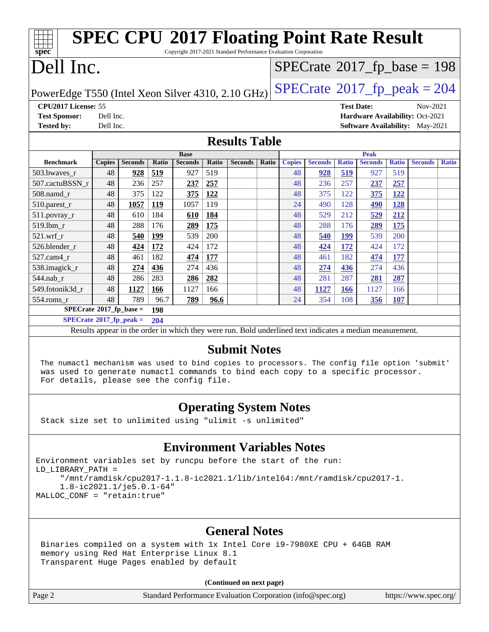|                                                                                                                                                                                                                                                                                                                     |                                                                                                                                        |                |              |                |       | <b>SPEC CPU®2017 Floating Point Rate Result</b> |       |               |                |              |                |              |                                        |              |
|---------------------------------------------------------------------------------------------------------------------------------------------------------------------------------------------------------------------------------------------------------------------------------------------------------------------|----------------------------------------------------------------------------------------------------------------------------------------|----------------|--------------|----------------|-------|-------------------------------------------------|-------|---------------|----------------|--------------|----------------|--------------|----------------------------------------|--------------|
|                                                                                                                                                                                                                                                                                                                     | $spec^*$<br>Copyright 2017-2021 Standard Performance Evaluation Corporation<br>Dell Inc.<br>$SPECrate$ <sup>®</sup> 2017_fp_base = 198 |                |              |                |       |                                                 |       |               |                |              |                |              |                                        |              |
| $SPECTate@2017_fp\_peak = 204$<br>PowerEdge T550 (Intel Xeon Silver 4310, 2.10 GHz)                                                                                                                                                                                                                                 |                                                                                                                                        |                |              |                |       |                                                 |       |               |                |              |                |              |                                        |              |
| CPU2017 License: 55<br><b>Test Date:</b><br>Nov-2021                                                                                                                                                                                                                                                                |                                                                                                                                        |                |              |                |       |                                                 |       |               |                |              |                |              |                                        |              |
| <b>Test Sponsor:</b>                                                                                                                                                                                                                                                                                                | Dell Inc.                                                                                                                              |                |              |                |       |                                                 |       |               |                |              |                |              | Hardware Availability: Oct-2021        |              |
| <b>Tested by:</b>                                                                                                                                                                                                                                                                                                   | Dell Inc.                                                                                                                              |                |              |                |       |                                                 |       |               |                |              |                |              | <b>Software Availability:</b> May-2021 |              |
|                                                                                                                                                                                                                                                                                                                     |                                                                                                                                        |                |              |                |       | <b>Results Table</b>                            |       |               |                |              |                |              |                                        |              |
|                                                                                                                                                                                                                                                                                                                     |                                                                                                                                        |                |              | <b>Base</b>    |       |                                                 |       |               |                |              | <b>Peak</b>    |              |                                        |              |
| <b>Benchmark</b>                                                                                                                                                                                                                                                                                                    | <b>Copies</b>                                                                                                                          | <b>Seconds</b> | <b>Ratio</b> | <b>Seconds</b> | Ratio | <b>Seconds</b>                                  | Ratio | <b>Copies</b> | <b>Seconds</b> | <b>Ratio</b> | <b>Seconds</b> | <b>Ratio</b> | <b>Seconds</b>                         | <b>Ratio</b> |
| 503.bwayes r                                                                                                                                                                                                                                                                                                        | 48                                                                                                                                     | 928            | 519          | 927            | 519   |                                                 |       | 48            | 928            | 519          | 927            | 519          |                                        |              |
| 507.cactuBSSN_r                                                                                                                                                                                                                                                                                                     | 48                                                                                                                                     | 236            | 257          | 237            | 257   |                                                 |       | 48            | 236            | 257          | 237            | 257          |                                        |              |
| 508.namd_r                                                                                                                                                                                                                                                                                                          | 48                                                                                                                                     | 375            | 122          | 375            | 122   |                                                 |       | 48            | 375            | 122          | 375            | 122          |                                        |              |
| 510.parest_r                                                                                                                                                                                                                                                                                                        | 48                                                                                                                                     | 1057           | 119          | 1057           | 119   |                                                 |       | 24            | 490            | 128          | 490            | 128          |                                        |              |
| 511.povray_r                                                                                                                                                                                                                                                                                                        | 48                                                                                                                                     | 610            | 184          | 610            | 184   |                                                 |       | 48            | 529            | 212          | 529            | 212          |                                        |              |
| 519.lbm_r                                                                                                                                                                                                                                                                                                           | 48                                                                                                                                     | 288            | 176          | 289            | 175   |                                                 |       | 48            | 288            | 176          | 289            | 175          |                                        |              |
| 521.wrf r                                                                                                                                                                                                                                                                                                           | 48                                                                                                                                     | 540            | 199          | 539            | 200   |                                                 |       | 48            | 540            | 199          | 539            | 200          |                                        |              |
| 526.blender_r                                                                                                                                                                                                                                                                                                       | 48                                                                                                                                     | 424            | 172          | 424            | 172   |                                                 |       | 48            | 424            | 172          | 424            | 172          |                                        |              |
| 527.cam4_r                                                                                                                                                                                                                                                                                                          | 48                                                                                                                                     | 461            | 182          | 474            | 177   |                                                 |       | 48            | 461            | 182          | 474            | 177          |                                        |              |
| 538.imagick_r                                                                                                                                                                                                                                                                                                       | 48                                                                                                                                     | 274            | 436          | 274            | 436   |                                                 |       | 48            | 274            | 436          | 274            | 436          |                                        |              |
| 544.nab_r                                                                                                                                                                                                                                                                                                           | 48                                                                                                                                     | 286            | 283          | 286            | 282   |                                                 |       | 48            | 281            | 287          | 281            | 287          |                                        |              |
| 549.fotonik3d r                                                                                                                                                                                                                                                                                                     | 48                                                                                                                                     | 1127           | 166          | 1127           | 166   |                                                 |       | 48            | 1127           | <b>166</b>   | 1127           | 166          |                                        |              |
| 554.roms r                                                                                                                                                                                                                                                                                                          | 48                                                                                                                                     | 789            | 96.7         | 789            | 96.6  |                                                 |       | 24            | 354            | 108          | 356            | 107          |                                        |              |
| $SPECrate^*2017_fp\_base =$                                                                                                                                                                                                                                                                                         |                                                                                                                                        |                | 198          |                |       |                                                 |       |               |                |              |                |              |                                        |              |
| $SPECrate^{\circ}2017$ _fp_peak =                                                                                                                                                                                                                                                                                   |                                                                                                                                        |                | 204          |                |       |                                                 |       |               |                |              |                |              |                                        |              |
|                                                                                                                                                                                                                                                                                                                     |                                                                                                                                        |                |              |                |       |                                                 |       |               |                |              |                |              |                                        |              |
| Results appear in the order in which they were run. Bold underlined text indicates a median measurement.<br><b>Submit Notes</b><br>The numactl mechanism was used to bind copies to processors. The config file option 'submit'<br>was used to generate numactl commands to bind each copy to a specific processor. |                                                                                                                                        |                |              |                |       |                                                 |       |               |                |              |                |              |                                        |              |

### **[Operating System Notes](http://www.spec.org/auto/cpu2017/Docs/result-fields.html#OperatingSystemNotes)**

Stack size set to unlimited using "ulimit -s unlimited"

For details, please see the config file.

### **[Environment Variables Notes](http://www.spec.org/auto/cpu2017/Docs/result-fields.html#EnvironmentVariablesNotes)**

Environment variables set by runcpu before the start of the run: LD\_LIBRARY\_PATH = "/mnt/ramdisk/cpu2017-1.1.8-ic2021.1/lib/intel64:/mnt/ramdisk/cpu2017-1. 1.8-ic2021.1/je5.0.1-64" MALLOC\_CONF = "retain:true"

### **[General Notes](http://www.spec.org/auto/cpu2017/Docs/result-fields.html#GeneralNotes)**

 Binaries compiled on a system with 1x Intel Core i9-7980XE CPU + 64GB RAM memory using Red Hat Enterprise Linux 8.1 Transparent Huge Pages enabled by default

#### **(Continued on next page)**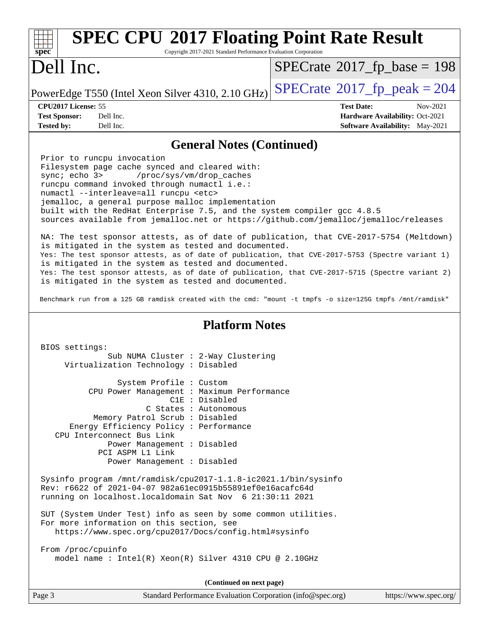| <b>SPEC CPU®2017 Floating Point Rate Result</b><br>Copyright 2017-2021 Standard Performance Evaluation Corporation<br>spec <sup>®</sup>                                                                                                                                                                                                                                                                                                                                                                                                                                                                                                                                                                                                                                                                                                                                    |                                                                                                                   |  |  |  |  |  |
|----------------------------------------------------------------------------------------------------------------------------------------------------------------------------------------------------------------------------------------------------------------------------------------------------------------------------------------------------------------------------------------------------------------------------------------------------------------------------------------------------------------------------------------------------------------------------------------------------------------------------------------------------------------------------------------------------------------------------------------------------------------------------------------------------------------------------------------------------------------------------|-------------------------------------------------------------------------------------------------------------------|--|--|--|--|--|
| Dell Inc.                                                                                                                                                                                                                                                                                                                                                                                                                                                                                                                                                                                                                                                                                                                                                                                                                                                                  | $SPECrate$ <sup>®</sup> 2017_fp_base = 198                                                                        |  |  |  |  |  |
| PowerEdge T550 (Intel Xeon Silver 4310, 2.10 GHz)                                                                                                                                                                                                                                                                                                                                                                                                                                                                                                                                                                                                                                                                                                                                                                                                                          | $SPECTate@2017_fp\_peak = 204$                                                                                    |  |  |  |  |  |
| CPU2017 License: 55<br>Dell Inc.<br><b>Test Sponsor:</b><br>Dell Inc.<br><b>Tested by:</b>                                                                                                                                                                                                                                                                                                                                                                                                                                                                                                                                                                                                                                                                                                                                                                                 | <b>Test Date:</b><br>Nov-2021<br><b>Hardware Availability: Oct-2021</b><br><b>Software Availability:</b> May-2021 |  |  |  |  |  |
| <b>General Notes (Continued)</b>                                                                                                                                                                                                                                                                                                                                                                                                                                                                                                                                                                                                                                                                                                                                                                                                                                           |                                                                                                                   |  |  |  |  |  |
| Prior to runcpu invocation<br>Filesystem page cache synced and cleared with:<br>sync; echo 3><br>/proc/sys/vm/drop_caches<br>runcpu command invoked through numactl i.e.:<br>numactl --interleave=all runcpu <etc><br/>jemalloc, a general purpose malloc implementation<br/>built with the RedHat Enterprise 7.5, and the system compiler gcc 4.8.5<br/>sources available from jemalloc.net or https://github.com/jemalloc/jemalloc/releases<br/>NA: The test sponsor attests, as of date of publication, that CVE-2017-5754 (Meltdown)<br/>is mitigated in the system as tested and documented.<br/>Yes: The test sponsor attests, as of date of publication, that CVE-2017-5753 (Spectre variant 1)<br/>is mitigated in the system as tested and documented.<br/>Yes: The test sponsor attests, as of date of publication, that CVE-2017-5715 (Spectre variant 2)</etc> |                                                                                                                   |  |  |  |  |  |
| is mitigated in the system as tested and documented.<br>Benchmark run from a 125 GB ramdisk created with the cmd: "mount -t tmpfs -o size=125G tmpfs /mnt/ramdisk"                                                                                                                                                                                                                                                                                                                                                                                                                                                                                                                                                                                                                                                                                                         |                                                                                                                   |  |  |  |  |  |
| <b>Platform Notes</b>                                                                                                                                                                                                                                                                                                                                                                                                                                                                                                                                                                                                                                                                                                                                                                                                                                                      |                                                                                                                   |  |  |  |  |  |
| BIOS settings:<br>Sub NUMA Cluster : 2-Way Clustering<br>Virtualization Technology : Disabled                                                                                                                                                                                                                                                                                                                                                                                                                                                                                                                                                                                                                                                                                                                                                                              |                                                                                                                   |  |  |  |  |  |
| System Profile : Custom<br>CPU Power Management : Maximum Performance<br>C1E : Disabled<br>C States : Autonomous<br>Memory Patrol Scrub: Disabled<br>Energy Efficiency Policy : Performance<br>CPU Interconnect Bus Link<br>Power Management : Disabled<br>PCI ASPM L1 Link<br>Power Management : Disabled                                                                                                                                                                                                                                                                                                                                                                                                                                                                                                                                                                 |                                                                                                                   |  |  |  |  |  |
| Sysinfo program /mnt/ramdisk/cpu2017-1.1.8-ic2021.1/bin/sysinfo<br>Rev: r6622 of 2021-04-07 982a61ec0915b55891ef0e16acafc64d<br>running on localhost. localdomain Sat Nov 6 21:30:11 2021                                                                                                                                                                                                                                                                                                                                                                                                                                                                                                                                                                                                                                                                                  |                                                                                                                   |  |  |  |  |  |
| SUT (System Under Test) info as seen by some common utilities.<br>For more information on this section, see<br>https://www.spec.org/cpu2017/Docs/config.html#sysinfo                                                                                                                                                                                                                                                                                                                                                                                                                                                                                                                                                                                                                                                                                                       |                                                                                                                   |  |  |  |  |  |
| From /proc/cpuinfo<br>model name : Intel(R) Xeon(R) Silver 4310 CPU @ 2.10GHz                                                                                                                                                                                                                                                                                                                                                                                                                                                                                                                                                                                                                                                                                                                                                                                              |                                                                                                                   |  |  |  |  |  |
| (Continued on next page)                                                                                                                                                                                                                                                                                                                                                                                                                                                                                                                                                                                                                                                                                                                                                                                                                                                   |                                                                                                                   |  |  |  |  |  |
| Page 3<br>Standard Performance Evaluation Corporation (info@spec.org)                                                                                                                                                                                                                                                                                                                                                                                                                                                                                                                                                                                                                                                                                                                                                                                                      | https://www.spec.org/                                                                                             |  |  |  |  |  |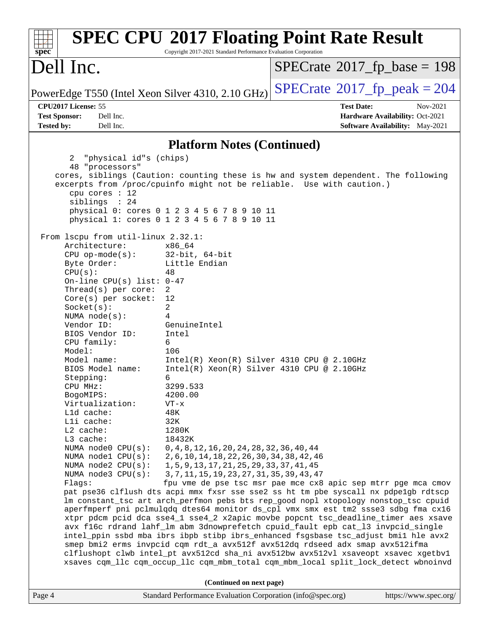| spec <sup>®</sup>                                                                                                                                                                                                                                                                                                                                                                                                                                                                                                                                                                                                                | Copyright 2017-2021 Standard Performance Evaluation Corporation                                                                                                                                                                                                                                                                                                                                                                                                                                                                                                                        | <b>SPEC CPU®2017 Floating Point Rate Result</b>                                                                                                                                                                                                                                                                                                                                                                                                                                                                                                                                                                                                                                                                                                                 |                       |
|----------------------------------------------------------------------------------------------------------------------------------------------------------------------------------------------------------------------------------------------------------------------------------------------------------------------------------------------------------------------------------------------------------------------------------------------------------------------------------------------------------------------------------------------------------------------------------------------------------------------------------|----------------------------------------------------------------------------------------------------------------------------------------------------------------------------------------------------------------------------------------------------------------------------------------------------------------------------------------------------------------------------------------------------------------------------------------------------------------------------------------------------------------------------------------------------------------------------------------|-----------------------------------------------------------------------------------------------------------------------------------------------------------------------------------------------------------------------------------------------------------------------------------------------------------------------------------------------------------------------------------------------------------------------------------------------------------------------------------------------------------------------------------------------------------------------------------------------------------------------------------------------------------------------------------------------------------------------------------------------------------------|-----------------------|
| Dell Inc.                                                                                                                                                                                                                                                                                                                                                                                                                                                                                                                                                                                                                        |                                                                                                                                                                                                                                                                                                                                                                                                                                                                                                                                                                                        | $SPECrate^{\circ}2017$ [p base = 198                                                                                                                                                                                                                                                                                                                                                                                                                                                                                                                                                                                                                                                                                                                            |                       |
| PowerEdge T550 (Intel Xeon Silver 4310, 2.10 GHz)                                                                                                                                                                                                                                                                                                                                                                                                                                                                                                                                                                                |                                                                                                                                                                                                                                                                                                                                                                                                                                                                                                                                                                                        | $SPECTate@2017_fp\_peak = 204$                                                                                                                                                                                                                                                                                                                                                                                                                                                                                                                                                                                                                                                                                                                                  |                       |
| CPU2017 License: 55<br><b>Test Sponsor:</b><br>Dell Inc.<br><b>Tested by:</b><br>Dell Inc.                                                                                                                                                                                                                                                                                                                                                                                                                                                                                                                                       |                                                                                                                                                                                                                                                                                                                                                                                                                                                                                                                                                                                        | <b>Test Date:</b><br>Hardware Availability: Oct-2021<br><b>Software Availability:</b> May-2021                                                                                                                                                                                                                                                                                                                                                                                                                                                                                                                                                                                                                                                                  | Nov-2021              |
|                                                                                                                                                                                                                                                                                                                                                                                                                                                                                                                                                                                                                                  | <b>Platform Notes (Continued)</b>                                                                                                                                                                                                                                                                                                                                                                                                                                                                                                                                                      |                                                                                                                                                                                                                                                                                                                                                                                                                                                                                                                                                                                                                                                                                                                                                                 |                       |
| "physical id"s (chips)<br>2<br>48 "processors"<br>cpu cores $: 12$<br>siblings : 24<br>From 1scpu from util-linux 2.32.1:<br>Architecture:<br>$CPU$ op-mode(s):<br>Byte Order:<br>CPU(s):<br>On-line CPU(s) list: $0-47$<br>$Thread(s)$ per core:<br>$Core(s)$ per socket:<br>Socket(s):<br>NUMA $node(s):$<br>Vendor ID:<br>BIOS Vendor ID:<br>CPU family:<br>Model:<br>Model name:<br>BIOS Model name:<br>Stepping:<br>CPU MHz:<br>BogoMIPS:<br>Virtualization:<br>Lld cache:<br>Lli cache:<br>$L2$ cache:<br>L3 cache:<br>NUMA node0 CPU(s):<br>NUMA nodel CPU(s):<br>NUMA $node2$ $CPU(s)$ :<br>NUMA node3 CPU(s):<br>Flags: | physical 0: cores 0 1 2 3 4 5 6 7 8 9 10 11<br>physical 1: cores 0 1 2 3 4 5 6 7 8 9 10 11<br>x86 64<br>$32$ -bit, $64$ -bit<br>Little Endian<br>48<br>2<br>12<br>2<br>4<br>GenuineIntel<br>Intel<br>6<br>106<br>$Intel(R) Xeon(R) Silver 4310 CPU @ 2.10GHz$<br>$Intel(R) Xeon(R) Silver 4310 CPU @ 2.10GHz$<br>6<br>3299.533<br>4200.00<br>$VT - x$<br>48K<br>32K<br>1280K<br>18432K<br>$0, 4, 8, 12, 16, 20, 24, 28, 32, 36, 40, 44$<br>2, 6, 10, 14, 18, 22, 26, 30, 34, 38, 42, 46<br>1, 5, 9, 13, 17, 21, 25, 29, 33, 37, 41, 45<br>3, 7, 11, 15, 19, 23, 27, 31, 35, 39, 43, 47 | cores, siblings (Caution: counting these is hw and system dependent. The following<br>excerpts from /proc/cpuinfo might not be reliable. Use with caution.)<br>fpu vme de pse tsc msr pae mce cx8 apic sep mtrr pge mca cmov<br>pat pse36 clflush dts acpi mmx fxsr sse sse2 ss ht tm pbe syscall nx pdpe1gb rdtscp<br>lm constant_tsc art arch_perfmon pebs bts rep_good nopl xtopology nonstop_tsc cpuid<br>aperfmperf pni pclmulqdq dtes64 monitor ds_cpl vmx smx est tm2 ssse3 sdbg fma cx16<br>xtpr pdcm pcid dca sse4_1 sse4_2 x2apic movbe popcnt tsc_deadline_timer aes xsave<br>avx f16c rdrand lahf_lm abm 3dnowprefetch cpuid_fault epb cat_13 invpcid_single<br>intel_ppin ssbd mba ibrs ibpb stibp ibrs_enhanced fsgsbase tsc_adjust bmil hle avx2 |                       |
|                                                                                                                                                                                                                                                                                                                                                                                                                                                                                                                                                                                                                                  |                                                                                                                                                                                                                                                                                                                                                                                                                                                                                                                                                                                        | smep bmi2 erms invpcid cqm rdt_a avx512f avx512dq rdseed adx smap avx512ifma<br>clflushopt clwb intel_pt avx512cd sha_ni avx512bw avx512vl xsaveopt xsavec xgetbvl<br>xsaves cqm_llc cqm_occup_llc cqm_mbm_total cqm_mbm_local split_lock_detect wbnoinvd                                                                                                                                                                                                                                                                                                                                                                                                                                                                                                       |                       |
|                                                                                                                                                                                                                                                                                                                                                                                                                                                                                                                                                                                                                                  | (Continued on next page)                                                                                                                                                                                                                                                                                                                                                                                                                                                                                                                                                               |                                                                                                                                                                                                                                                                                                                                                                                                                                                                                                                                                                                                                                                                                                                                                                 |                       |
| Page 4                                                                                                                                                                                                                                                                                                                                                                                                                                                                                                                                                                                                                           | Standard Performance Evaluation Corporation (info@spec.org)                                                                                                                                                                                                                                                                                                                                                                                                                                                                                                                            |                                                                                                                                                                                                                                                                                                                                                                                                                                                                                                                                                                                                                                                                                                                                                                 | https://www.spec.org/ |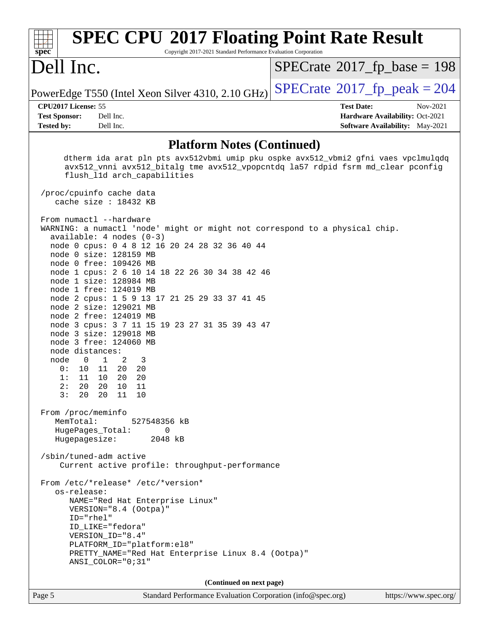| <b>SPEC CPU®2017 Floating Point Rate Result</b><br>$spec^*$<br>Copyright 2017-2021 Standard Performance Evaluation Corporation                                                                                                                                                                                                                                                                                                                                                                                                                                                                                                                                                                                                                                        |                                                                                                            |
|-----------------------------------------------------------------------------------------------------------------------------------------------------------------------------------------------------------------------------------------------------------------------------------------------------------------------------------------------------------------------------------------------------------------------------------------------------------------------------------------------------------------------------------------------------------------------------------------------------------------------------------------------------------------------------------------------------------------------------------------------------------------------|------------------------------------------------------------------------------------------------------------|
| Dell Inc.                                                                                                                                                                                                                                                                                                                                                                                                                                                                                                                                                                                                                                                                                                                                                             | $SPECrate^{\circ}2017$ fp base = 198                                                                       |
| PowerEdge T550 (Intel Xeon Silver 4310, 2.10 GHz)                                                                                                                                                                                                                                                                                                                                                                                                                                                                                                                                                                                                                                                                                                                     | $SPECrate$ <sup>®</sup> 2017_fp_peak = 204                                                                 |
| CPU2017 License: 55<br><b>Test Sponsor:</b><br>Dell Inc.<br><b>Tested by:</b><br>Dell Inc.                                                                                                                                                                                                                                                                                                                                                                                                                                                                                                                                                                                                                                                                            | <b>Test Date:</b><br>Nov-2021<br>Hardware Availability: Oct-2021<br><b>Software Availability:</b> May-2021 |
| <b>Platform Notes (Continued)</b>                                                                                                                                                                                                                                                                                                                                                                                                                                                                                                                                                                                                                                                                                                                                     |                                                                                                            |
| dtherm ida arat pln pts avx512vbmi umip pku ospke avx512_vbmi2 gfni vaes vpclmulqdq<br>avx512_vnni avx512_bitalg tme avx512_vpopcntdq la57 rdpid fsrm md_clear pconfig<br>flush_11d arch_capabilities<br>/proc/cpuinfo cache data                                                                                                                                                                                                                                                                                                                                                                                                                                                                                                                                     |                                                                                                            |
| cache size : 18432 KB                                                                                                                                                                                                                                                                                                                                                                                                                                                                                                                                                                                                                                                                                                                                                 |                                                                                                            |
| From numactl --hardware<br>WARNING: a numactl 'node' might or might not correspond to a physical chip.<br>$available: 4 nodes (0-3)$<br>node 0 cpus: 0 4 8 12 16 20 24 28 32 36 40 44<br>node 0 size: 128159 MB<br>node 0 free: 109426 MB<br>node 1 cpus: 2 6 10 14 18 22 26 30 34 38 42 46<br>node 1 size: 128984 MB<br>node 1 free: 124019 MB<br>node 2 cpus: 1 5 9 13 17 21 25 29 33 37 41 45<br>node 2 size: 129021 MB<br>node 2 free: 124019 MB<br>node 3 cpus: 3 7 11 15 19 23 27 31 35 39 43 47<br>node 3 size: 129018 MB<br>node 3 free: 124060 MB<br>node distances:<br>node<br>$\overline{\phantom{0}}$<br>1<br>2<br>3<br>0 :<br>10<br>11<br>20<br>20<br>1:<br>10<br>20<br>20<br>11<br>2:<br>20  20  10<br>11<br>20  20  11  10<br>3:<br>From /proc/meminfo |                                                                                                            |
| MemTotal:<br>527548356 kB<br>HugePages_Total:<br>$\overline{0}$                                                                                                                                                                                                                                                                                                                                                                                                                                                                                                                                                                                                                                                                                                       |                                                                                                            |
| Hugepagesize:<br>2048 kB                                                                                                                                                                                                                                                                                                                                                                                                                                                                                                                                                                                                                                                                                                                                              |                                                                                                            |
| /sbin/tuned-adm active<br>Current active profile: throughput-performance                                                                                                                                                                                                                                                                                                                                                                                                                                                                                                                                                                                                                                                                                              |                                                                                                            |
| From /etc/*release* /etc/*version*<br>os-release:<br>NAME="Red Hat Enterprise Linux"<br>VERSION="8.4 (Ootpa)"<br>ID="rhel"<br>ID LIKE="fedora"<br>VERSION_ID="8.4"<br>PLATFORM_ID="platform:el8"<br>PRETTY_NAME="Red Hat Enterprise Linux 8.4 (Ootpa)"<br>ANSI_COLOR="0;31"                                                                                                                                                                                                                                                                                                                                                                                                                                                                                           |                                                                                                            |
| (Continued on next page)                                                                                                                                                                                                                                                                                                                                                                                                                                                                                                                                                                                                                                                                                                                                              |                                                                                                            |
| Standard Performance Evaluation Corporation (info@spec.org)<br>Page 5                                                                                                                                                                                                                                                                                                                                                                                                                                                                                                                                                                                                                                                                                                 | https://www.spec.org/                                                                                      |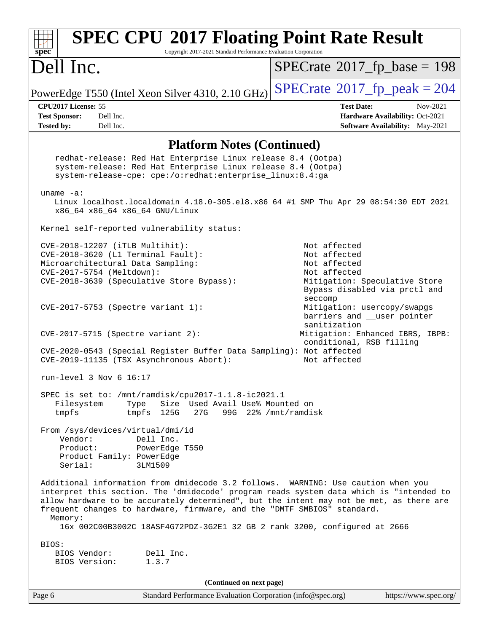| <b>SPEC CPU®2017 Floating Point Rate Result</b><br>Copyright 2017-2021 Standard Performance Evaluation Corporation<br>$spec^*$                                                                                                                                                                                                                                                                                                             |                                                                                                                                |
|--------------------------------------------------------------------------------------------------------------------------------------------------------------------------------------------------------------------------------------------------------------------------------------------------------------------------------------------------------------------------------------------------------------------------------------------|--------------------------------------------------------------------------------------------------------------------------------|
| Dell Inc.                                                                                                                                                                                                                                                                                                                                                                                                                                  | $SPECrate^{\circ}2017$ [p base = 198                                                                                           |
| PowerEdge T550 (Intel Xeon Silver 4310, 2.10 GHz)                                                                                                                                                                                                                                                                                                                                                                                          | $SPECTate$ <sup>®</sup> 2017_fp_peak = 204                                                                                     |
| CPU2017 License: 55<br>Dell Inc.<br><b>Test Sponsor:</b><br>Dell Inc.<br><b>Tested by:</b>                                                                                                                                                                                                                                                                                                                                                 | <b>Test Date:</b><br>Nov-2021<br>Hardware Availability: Oct-2021<br>Software Availability: May-2021                            |
|                                                                                                                                                                                                                                                                                                                                                                                                                                            |                                                                                                                                |
| <b>Platform Notes (Continued)</b>                                                                                                                                                                                                                                                                                                                                                                                                          |                                                                                                                                |
| redhat-release: Red Hat Enterprise Linux release 8.4 (Ootpa)<br>system-release: Red Hat Enterprise Linux release 8.4 (Ootpa)<br>system-release-cpe: cpe:/o:redhat:enterprise_linux:8.4:ga                                                                                                                                                                                                                                                  |                                                                                                                                |
| uname $-a$ :<br>Linux localhost.localdomain 4.18.0-305.el8.x86_64 #1 SMP Thu Apr 29 08:54:30 EDT 2021                                                                                                                                                                                                                                                                                                                                      |                                                                                                                                |
| x86_64 x86_64 x86_64 GNU/Linux                                                                                                                                                                                                                                                                                                                                                                                                             |                                                                                                                                |
| Kernel self-reported vulnerability status:                                                                                                                                                                                                                                                                                                                                                                                                 |                                                                                                                                |
| CVE-2018-12207 (iTLB Multihit):<br>CVE-2018-3620 (L1 Terminal Fault):<br>Microarchitectural Data Sampling:<br>CVE-2017-5754 (Meltdown):<br>CVE-2018-3639 (Speculative Store Bypass):                                                                                                                                                                                                                                                       | Not affected<br>Not affected<br>Not affected<br>Not affected<br>Mitigation: Speculative Store<br>Bypass disabled via prctl and |
| $CVE-2017-5753$ (Spectre variant 1):                                                                                                                                                                                                                                                                                                                                                                                                       | seccomp<br>Mitigation: usercopy/swapgs<br>barriers and __user pointer<br>sanitization                                          |
| $CVE-2017-5715$ (Spectre variant 2):                                                                                                                                                                                                                                                                                                                                                                                                       | Mitigation: Enhanced IBRS, IBPB:<br>conditional, RSB filling                                                                   |
| CVE-2020-0543 (Special Register Buffer Data Sampling): Not affected<br>CVE-2019-11135 (TSX Asynchronous Abort):                                                                                                                                                                                                                                                                                                                            | Not affected                                                                                                                   |
| run-level 3 Nov 6 16:17                                                                                                                                                                                                                                                                                                                                                                                                                    |                                                                                                                                |
| SPEC is set to: /mnt/ramdisk/cpu2017-1.1.8-ic2021.1<br>Size Used Avail Use% Mounted on<br>Filesystem<br>Type<br>27G<br>tmpfs<br>tmpfs 125G                                                                                                                                                                                                                                                                                                 | 99G 22% / mnt/ramdisk                                                                                                          |
| From /sys/devices/virtual/dmi/id<br>Vendor:<br>Dell Inc.<br>Product:<br>PowerEdge T550<br>Product Family: PowerEdge<br>Serial:<br>3LM1509                                                                                                                                                                                                                                                                                                  |                                                                                                                                |
| Additional information from dmidecode 3.2 follows. WARNING: Use caution when you<br>interpret this section. The 'dmidecode' program reads system data which is "intended to<br>allow hardware to be accurately determined", but the intent may not be met, as there are<br>frequent changes to hardware, firmware, and the "DMTF SMBIOS" standard.<br>Memory:<br>16x 002C00B3002C 18ASF4G72PDZ-3G2E1 32 GB 2 rank 3200, configured at 2666 |                                                                                                                                |
| BIOS:<br>BIOS Vendor:<br>Dell Inc.<br>BIOS Version:<br>1.3.7                                                                                                                                                                                                                                                                                                                                                                               |                                                                                                                                |
| (Continued on next page)                                                                                                                                                                                                                                                                                                                                                                                                                   |                                                                                                                                |
| Page 6<br>Standard Performance Evaluation Corporation (info@spec.org)                                                                                                                                                                                                                                                                                                                                                                      | https://www.spec.org/                                                                                                          |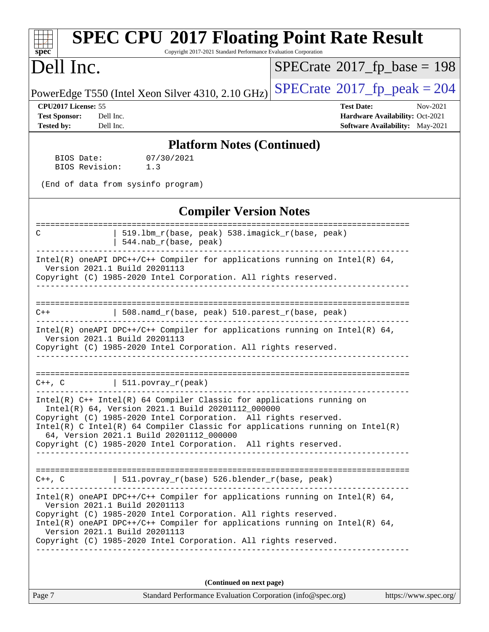| <b>SPEC CPU®2017 Floating Point Rate Result</b><br>Copyright 2017-2021 Standard Performance Evaluation Corporation<br>$spec^*$                                                                |                                                                                                            |
|-----------------------------------------------------------------------------------------------------------------------------------------------------------------------------------------------|------------------------------------------------------------------------------------------------------------|
| Dell Inc.                                                                                                                                                                                     | $SPECrate^{\circ}2017$ fp base = 198                                                                       |
| PowerEdge T550 (Intel Xeon Silver 4310, 2.10 GHz)                                                                                                                                             | $SPECTate@2017fr peak = 204$                                                                               |
| CPU2017 License: 55<br><b>Test Sponsor:</b><br>Dell Inc.<br><b>Tested by:</b><br>Dell Inc.                                                                                                    | <b>Test Date:</b><br>Nov-2021<br>Hardware Availability: Oct-2021<br><b>Software Availability:</b> May-2021 |
| <b>Platform Notes (Continued)</b>                                                                                                                                                             |                                                                                                            |
| 07/30/2021<br>BIOS Date:<br>BIOS Revision:<br>1.3                                                                                                                                             |                                                                                                            |
| (End of data from sysinfo program)                                                                                                                                                            |                                                                                                            |
| <b>Compiler Version Notes</b>                                                                                                                                                                 |                                                                                                            |
| 519.1bm_r(base, peak) 538.imagick_r(base, peak)<br>C<br>544.nab_r(base, peak)                                                                                                                 |                                                                                                            |
| Intel(R) oneAPI DPC++/C++ Compiler for applications running on Intel(R) $64$ ,<br>Version 2021.1 Build 20201113<br>Copyright (C) 1985-2020 Intel Corporation. All rights reserved.            |                                                                                                            |
|                                                                                                                                                                                               |                                                                                                            |
| 508.namd_r(base, peak) 510.parest_r(base, peak)<br>C++                                                                                                                                        |                                                                                                            |
| Intel(R) oneAPI DPC++/C++ Compiler for applications running on Intel(R) 64,<br>Version 2021.1 Build 20201113<br>Copyright (C) 1985-2020 Intel Corporation. All rights reserved.               |                                                                                                            |
| $511. povray_r (peak)$<br>$C++$ , $C$                                                                                                                                                         |                                                                                                            |
| Intel(R) C++ Intel(R) 64 Compiler Classic for applications running on<br>Intel(R) 64, Version 2021.1 Build 20201112_000000<br>Copyright (C) 1985-2020 Intel Corporation. All rights reserved. |                                                                                                            |
| Intel(R) C Intel(R) 64 Compiler Classic for applications running on Intel(R)<br>64, Version 2021.1 Build 20201112_000000<br>Copyright (C) 1985-2020 Intel Corporation. All rights reserved.   |                                                                                                            |
|                                                                                                                                                                                               |                                                                                                            |
| $C++$ , C $\vert$ 511.povray_r(base) 526.blender_r(base, peak)<br>---------                                                                                                                   |                                                                                                            |
| $Intel(R)$ oneAPI DPC++/C++ Compiler for applications running on Intel(R) 64,<br>Version 2021.1 Build 20201113<br>Copyright (C) 1985-2020 Intel Corporation. All rights reserved.             |                                                                                                            |
| Intel(R) oneAPI DPC++/C++ Compiler for applications running on Intel(R) 64,<br>Version 2021.1 Build 20201113<br>Copyright (C) 1985-2020 Intel Corporation. All rights reserved.               |                                                                                                            |
|                                                                                                                                                                                               |                                                                                                            |
| (Continued on next page)                                                                                                                                                                      |                                                                                                            |
| Page 7<br>Standard Performance Evaluation Corporation (info@spec.org)                                                                                                                         | https://www.spec.org/                                                                                      |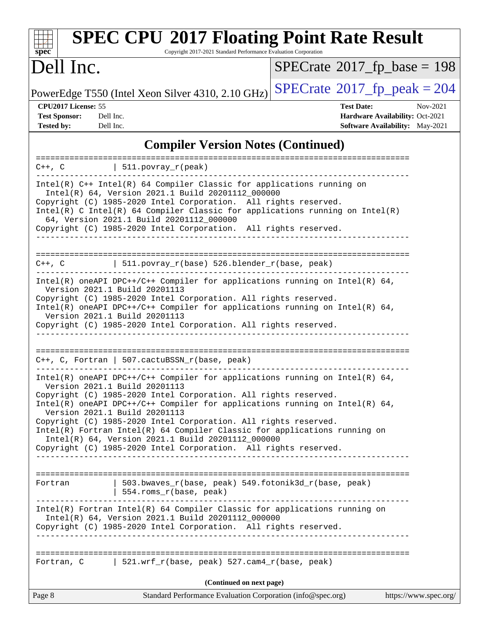| <b>SPEC CPU®2017 Floating Point Rate Result</b><br>Copyright 2017-2021 Standard Performance Evaluation Corporation<br>$s\overline{p}\overline{e}\overline{c}$                                                                                                                                                                                                                                                                                                                                                                                                              |                                                                                                     |
|----------------------------------------------------------------------------------------------------------------------------------------------------------------------------------------------------------------------------------------------------------------------------------------------------------------------------------------------------------------------------------------------------------------------------------------------------------------------------------------------------------------------------------------------------------------------------|-----------------------------------------------------------------------------------------------------|
| Dell Inc.                                                                                                                                                                                                                                                                                                                                                                                                                                                                                                                                                                  | $SPECrate^{\circ}2017$ _fp_base = 198                                                               |
| PowerEdge T550 (Intel Xeon Silver 4310, 2.10 GHz)                                                                                                                                                                                                                                                                                                                                                                                                                                                                                                                          | $SPECrate^{\circ}2017$ _fp_peak = 204                                                               |
| CPU2017 License: 55<br><b>Test Sponsor:</b><br>Dell Inc.<br><b>Tested by:</b><br>Dell Inc.                                                                                                                                                                                                                                                                                                                                                                                                                                                                                 | <b>Test Date:</b><br>Nov-2021<br>Hardware Availability: Oct-2021<br>Software Availability: May-2021 |
| <b>Compiler Version Notes (Continued)</b>                                                                                                                                                                                                                                                                                                                                                                                                                                                                                                                                  |                                                                                                     |
| ====================<br>$ 511.povray_r(peak) $<br>$C++$ , $C$                                                                                                                                                                                                                                                                                                                                                                                                                                                                                                              |                                                                                                     |
| Intel(R) C++ Intel(R) 64 Compiler Classic for applications running on<br>Intel(R) 64, Version 2021.1 Build 20201112_000000<br>Copyright (C) 1985-2020 Intel Corporation. All rights reserved.<br>Intel(R) C Intel(R) 64 Compiler Classic for applications running on Intel(R)<br>64, Version 2021.1 Build 20201112_000000<br>Copyright (C) 1985-2020 Intel Corporation. All rights reserved.                                                                                                                                                                               |                                                                                                     |
| $C++$ , C $\qquad \qquad$ 511.povray_r(base) 526.blender_r(base, peak)                                                                                                                                                                                                                                                                                                                                                                                                                                                                                                     |                                                                                                     |
| Intel(R) oneAPI DPC++/C++ Compiler for applications running on Intel(R) $64$ ,<br>Version 2021.1 Build 20201113<br>Copyright (C) 1985-2020 Intel Corporation. All rights reserved.<br>Intel(R) oneAPI DPC++/C++ Compiler for applications running on Intel(R) $64$ ,<br>Version 2021.1 Build 20201113<br>Copyright (C) 1985-2020 Intel Corporation. All rights reserved.                                                                                                                                                                                                   |                                                                                                     |
| C++, C, Fortran   507.cactuBSSN_r(base, peak)                                                                                                                                                                                                                                                                                                                                                                                                                                                                                                                              | ------------------------------------                                                                |
| Intel(R) oneAPI DPC++/C++ Compiler for applications running on Intel(R) $64$ ,<br>Version 2021.1 Build 20201113<br>Copyright (C) 1985-2020 Intel Corporation. All rights reserved.<br>Intel(R) oneAPI DPC++/C++ Compiler for applications running on Intel(R) 64,<br>Version 2021.1 Build 20201113<br>Copyright (C) 1985-2020 Intel Corporation. All rights reserved.<br>Intel(R) Fortran Intel(R) 64 Compiler Classic for applications running on<br>Intel(R) 64, Version 2021.1 Build 20201112_000000<br>Copyright (C) 1985-2020 Intel Corporation. All rights reserved. |                                                                                                     |
| 503.bwaves_r(base, peak) 549.fotonik3d_r(base, peak)<br>Fortran<br>554.roms_r(base, peak)<br>Intel(R) Fortran Intel(R) 64 Compiler Classic for applications running on                                                                                                                                                                                                                                                                                                                                                                                                     |                                                                                                     |
| Intel(R) 64, Version 2021.1 Build 20201112_000000<br>Copyright (C) 1985-2020 Intel Corporation. All rights reserved.                                                                                                                                                                                                                                                                                                                                                                                                                                                       |                                                                                                     |
| Fortran, C 521.wrf_r(base, peak) 527.cam4_r(base, peak)                                                                                                                                                                                                                                                                                                                                                                                                                                                                                                                    |                                                                                                     |
| (Continued on next page)                                                                                                                                                                                                                                                                                                                                                                                                                                                                                                                                                   |                                                                                                     |
| Page 8<br>Standard Performance Evaluation Corporation (info@spec.org)                                                                                                                                                                                                                                                                                                                                                                                                                                                                                                      | https://www.spec.org/                                                                               |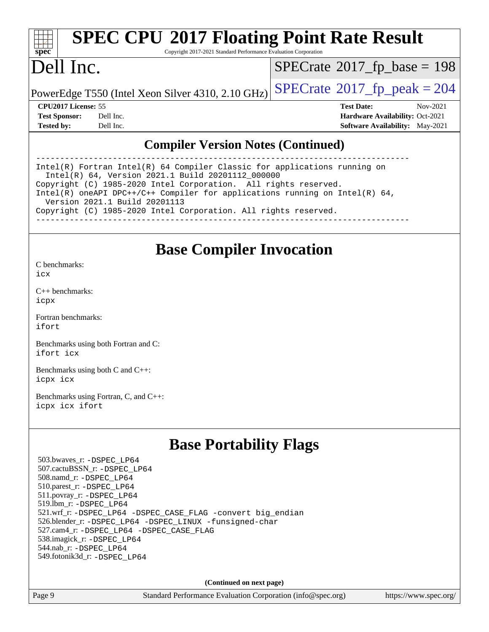|  | spe | U |  |
|--|-----|---|--|

# **[SPEC CPU](http://www.spec.org/auto/cpu2017/Docs/result-fields.html#SPECCPU2017FloatingPointRateResult)[2017 Floating Point Rate Result](http://www.spec.org/auto/cpu2017/Docs/result-fields.html#SPECCPU2017FloatingPointRateResult)**

Copyright 2017-2021 Standard Performance Evaluation Corporation

# Dell Inc.

 $SPECTate$ <sup>®</sup>[2017\\_fp\\_base =](http://www.spec.org/auto/cpu2017/Docs/result-fields.html#SPECrate2017fpbase) 198

PowerEdge T550 (Intel Xeon Silver 4310, 2.10 GHz)  $\left|$  [SPECrate](http://www.spec.org/auto/cpu2017/Docs/result-fields.html#SPECrate2017fppeak)®[2017\\_fp\\_peak = 2](http://www.spec.org/auto/cpu2017/Docs/result-fields.html#SPECrate2017fppeak)04

**[CPU2017 License:](http://www.spec.org/auto/cpu2017/Docs/result-fields.html#CPU2017License)** 55 **[Test Date:](http://www.spec.org/auto/cpu2017/Docs/result-fields.html#TestDate)** Nov-2021 **[Test Sponsor:](http://www.spec.org/auto/cpu2017/Docs/result-fields.html#TestSponsor)** Dell Inc. **[Hardware Availability:](http://www.spec.org/auto/cpu2017/Docs/result-fields.html#HardwareAvailability)** Oct-2021 **[Tested by:](http://www.spec.org/auto/cpu2017/Docs/result-fields.html#Testedby)** Dell Inc. **[Software Availability:](http://www.spec.org/auto/cpu2017/Docs/result-fields.html#SoftwareAvailability)** May-2021

### **[Compiler Version Notes \(Continued\)](http://www.spec.org/auto/cpu2017/Docs/result-fields.html#CompilerVersionNotes)**

------------------------------------------------------------------------------ Intel(R) Fortran Intel(R) 64 Compiler Classic for applications running on Intel(R) 64, Version 2021.1 Build 20201112\_000000 Copyright (C) 1985-2020 Intel Corporation. All rights reserved. Intel(R) oneAPI DPC++/C++ Compiler for applications running on Intel(R) 64, Version 2021.1 Build 20201113 Copyright (C) 1985-2020 Intel Corporation. All rights reserved. ------------------------------------------------------------------------------

### **[Base Compiler Invocation](http://www.spec.org/auto/cpu2017/Docs/result-fields.html#BaseCompilerInvocation)**

[C benchmarks](http://www.spec.org/auto/cpu2017/Docs/result-fields.html#Cbenchmarks): [icx](http://www.spec.org/cpu2017/results/res2021q4/cpu2017-20211122-30225.flags.html#user_CCbase_intel_icx_fe2d28d19ae2a5db7c42fe0f2a2aed77cb715edd4aeb23434404a8be6683fe239869bb6ca8154ca98265c2e3b9226a719a0efe2953a4a7018c379b7010ccf087)

[C++ benchmarks:](http://www.spec.org/auto/cpu2017/Docs/result-fields.html#CXXbenchmarks) [icpx](http://www.spec.org/cpu2017/results/res2021q4/cpu2017-20211122-30225.flags.html#user_CXXbase_intel_icpx_1e918ed14c436bf4b9b7c8bcdd51d4539fc71b3df010bd1e9f8732d9c34c2b2914e48204a846820f3c0ebb4095dea797a5c30b458ac0b6dffac65d78f781f5ca)

[Fortran benchmarks](http://www.spec.org/auto/cpu2017/Docs/result-fields.html#Fortranbenchmarks): [ifort](http://www.spec.org/cpu2017/results/res2021q4/cpu2017-20211122-30225.flags.html#user_FCbase_intel_ifort_8111460550e3ca792625aed983ce982f94888b8b503583aa7ba2b8303487b4d8a21a13e7191a45c5fd58ff318f48f9492884d4413fa793fd88dd292cad7027ca)

[Benchmarks using both Fortran and C](http://www.spec.org/auto/cpu2017/Docs/result-fields.html#BenchmarksusingbothFortranandC): [ifort](http://www.spec.org/cpu2017/results/res2021q4/cpu2017-20211122-30225.flags.html#user_CC_FCbase_intel_ifort_8111460550e3ca792625aed983ce982f94888b8b503583aa7ba2b8303487b4d8a21a13e7191a45c5fd58ff318f48f9492884d4413fa793fd88dd292cad7027ca) [icx](http://www.spec.org/cpu2017/results/res2021q4/cpu2017-20211122-30225.flags.html#user_CC_FCbase_intel_icx_fe2d28d19ae2a5db7c42fe0f2a2aed77cb715edd4aeb23434404a8be6683fe239869bb6ca8154ca98265c2e3b9226a719a0efe2953a4a7018c379b7010ccf087)

[Benchmarks using both C and C++](http://www.spec.org/auto/cpu2017/Docs/result-fields.html#BenchmarksusingbothCandCXX): [icpx](http://www.spec.org/cpu2017/results/res2021q4/cpu2017-20211122-30225.flags.html#user_CC_CXXbase_intel_icpx_1e918ed14c436bf4b9b7c8bcdd51d4539fc71b3df010bd1e9f8732d9c34c2b2914e48204a846820f3c0ebb4095dea797a5c30b458ac0b6dffac65d78f781f5ca) [icx](http://www.spec.org/cpu2017/results/res2021q4/cpu2017-20211122-30225.flags.html#user_CC_CXXbase_intel_icx_fe2d28d19ae2a5db7c42fe0f2a2aed77cb715edd4aeb23434404a8be6683fe239869bb6ca8154ca98265c2e3b9226a719a0efe2953a4a7018c379b7010ccf087)

[Benchmarks using Fortran, C, and C++:](http://www.spec.org/auto/cpu2017/Docs/result-fields.html#BenchmarksusingFortranCandCXX) [icpx](http://www.spec.org/cpu2017/results/res2021q4/cpu2017-20211122-30225.flags.html#user_CC_CXX_FCbase_intel_icpx_1e918ed14c436bf4b9b7c8bcdd51d4539fc71b3df010bd1e9f8732d9c34c2b2914e48204a846820f3c0ebb4095dea797a5c30b458ac0b6dffac65d78f781f5ca) [icx](http://www.spec.org/cpu2017/results/res2021q4/cpu2017-20211122-30225.flags.html#user_CC_CXX_FCbase_intel_icx_fe2d28d19ae2a5db7c42fe0f2a2aed77cb715edd4aeb23434404a8be6683fe239869bb6ca8154ca98265c2e3b9226a719a0efe2953a4a7018c379b7010ccf087) [ifort](http://www.spec.org/cpu2017/results/res2021q4/cpu2017-20211122-30225.flags.html#user_CC_CXX_FCbase_intel_ifort_8111460550e3ca792625aed983ce982f94888b8b503583aa7ba2b8303487b4d8a21a13e7191a45c5fd58ff318f48f9492884d4413fa793fd88dd292cad7027ca)

### **[Base Portability Flags](http://www.spec.org/auto/cpu2017/Docs/result-fields.html#BasePortabilityFlags)**

 503.bwaves\_r: [-DSPEC\\_LP64](http://www.spec.org/cpu2017/results/res2021q4/cpu2017-20211122-30225.flags.html#suite_basePORTABILITY503_bwaves_r_DSPEC_LP64) 507.cactuBSSN\_r: [-DSPEC\\_LP64](http://www.spec.org/cpu2017/results/res2021q4/cpu2017-20211122-30225.flags.html#suite_basePORTABILITY507_cactuBSSN_r_DSPEC_LP64) 508.namd\_r: [-DSPEC\\_LP64](http://www.spec.org/cpu2017/results/res2021q4/cpu2017-20211122-30225.flags.html#suite_basePORTABILITY508_namd_r_DSPEC_LP64) 510.parest\_r: [-DSPEC\\_LP64](http://www.spec.org/cpu2017/results/res2021q4/cpu2017-20211122-30225.flags.html#suite_basePORTABILITY510_parest_r_DSPEC_LP64) 511.povray\_r: [-DSPEC\\_LP64](http://www.spec.org/cpu2017/results/res2021q4/cpu2017-20211122-30225.flags.html#suite_basePORTABILITY511_povray_r_DSPEC_LP64) 519.lbm\_r: [-DSPEC\\_LP64](http://www.spec.org/cpu2017/results/res2021q4/cpu2017-20211122-30225.flags.html#suite_basePORTABILITY519_lbm_r_DSPEC_LP64) 521.wrf\_r: [-DSPEC\\_LP64](http://www.spec.org/cpu2017/results/res2021q4/cpu2017-20211122-30225.flags.html#suite_basePORTABILITY521_wrf_r_DSPEC_LP64) [-DSPEC\\_CASE\\_FLAG](http://www.spec.org/cpu2017/results/res2021q4/cpu2017-20211122-30225.flags.html#b521.wrf_r_baseCPORTABILITY_DSPEC_CASE_FLAG) [-convert big\\_endian](http://www.spec.org/cpu2017/results/res2021q4/cpu2017-20211122-30225.flags.html#user_baseFPORTABILITY521_wrf_r_convert_big_endian_c3194028bc08c63ac5d04de18c48ce6d347e4e562e8892b8bdbdc0214820426deb8554edfa529a3fb25a586e65a3d812c835984020483e7e73212c4d31a38223) 526.blender\_r: [-DSPEC\\_LP64](http://www.spec.org/cpu2017/results/res2021q4/cpu2017-20211122-30225.flags.html#suite_basePORTABILITY526_blender_r_DSPEC_LP64) [-DSPEC\\_LINUX](http://www.spec.org/cpu2017/results/res2021q4/cpu2017-20211122-30225.flags.html#b526.blender_r_baseCPORTABILITY_DSPEC_LINUX) [-funsigned-char](http://www.spec.org/cpu2017/results/res2021q4/cpu2017-20211122-30225.flags.html#user_baseCPORTABILITY526_blender_r_force_uchar_40c60f00ab013830e2dd6774aeded3ff59883ba5a1fc5fc14077f794d777847726e2a5858cbc7672e36e1b067e7e5c1d9a74f7176df07886a243d7cc18edfe67) 527.cam4\_r: [-DSPEC\\_LP64](http://www.spec.org/cpu2017/results/res2021q4/cpu2017-20211122-30225.flags.html#suite_basePORTABILITY527_cam4_r_DSPEC_LP64) [-DSPEC\\_CASE\\_FLAG](http://www.spec.org/cpu2017/results/res2021q4/cpu2017-20211122-30225.flags.html#b527.cam4_r_baseCPORTABILITY_DSPEC_CASE_FLAG) 538.imagick\_r: [-DSPEC\\_LP64](http://www.spec.org/cpu2017/results/res2021q4/cpu2017-20211122-30225.flags.html#suite_basePORTABILITY538_imagick_r_DSPEC_LP64) 544.nab\_r: [-DSPEC\\_LP64](http://www.spec.org/cpu2017/results/res2021q4/cpu2017-20211122-30225.flags.html#suite_basePORTABILITY544_nab_r_DSPEC_LP64) 549.fotonik3d\_r: [-DSPEC\\_LP64](http://www.spec.org/cpu2017/results/res2021q4/cpu2017-20211122-30225.flags.html#suite_basePORTABILITY549_fotonik3d_r_DSPEC_LP64)

**(Continued on next page)**

Page 9 Standard Performance Evaluation Corporation [\(info@spec.org\)](mailto:info@spec.org) <https://www.spec.org/>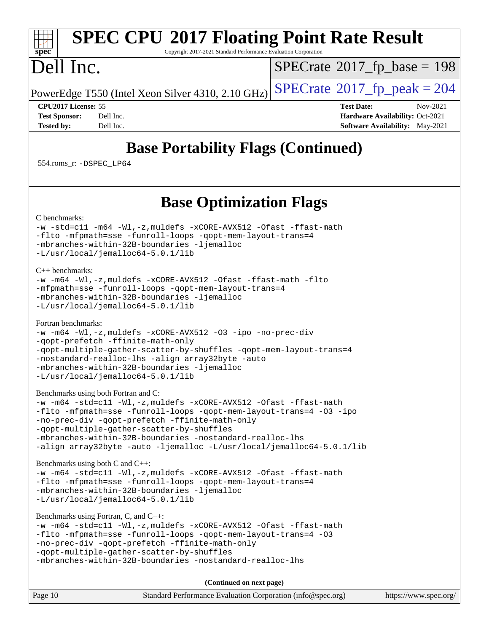### **[spec](http://www.spec.org/) [SPEC CPU](http://www.spec.org/auto/cpu2017/Docs/result-fields.html#SPECCPU2017FloatingPointRateResult)[2017 Floating Point Rate Result](http://www.spec.org/auto/cpu2017/Docs/result-fields.html#SPECCPU2017FloatingPointRateResult)** Copyright 2017-2021 Standard Performance Evaluation Corporation Dell Inc. PowerEdge T550 (Intel Xeon Silver 4310, 2.10 GHz)  $\text{SPECrate}^{\circ}2017$  $\text{SPECrate}^{\circ}2017$  $\text{SPECrate}^{\circ}2017$  fp peak = 204  $SPECTate$ <sup>®</sup>[2017\\_fp\\_base =](http://www.spec.org/auto/cpu2017/Docs/result-fields.html#SPECrate2017fpbase) 198 **[CPU2017 License:](http://www.spec.org/auto/cpu2017/Docs/result-fields.html#CPU2017License)** 55 **[Test Date:](http://www.spec.org/auto/cpu2017/Docs/result-fields.html#TestDate)** Nov-2021

**[Tested by:](http://www.spec.org/auto/cpu2017/Docs/result-fields.html#Testedby)** Dell Inc. Dell Inc. **[Software Availability:](http://www.spec.org/auto/cpu2017/Docs/result-fields.html#SoftwareAvailability)** May-2021

**[Test Sponsor:](http://www.spec.org/auto/cpu2017/Docs/result-fields.html#TestSponsor)** Dell Inc. **[Hardware Availability:](http://www.spec.org/auto/cpu2017/Docs/result-fields.html#HardwareAvailability)** Oct-2021

# **[Base Portability Flags \(Continued\)](http://www.spec.org/auto/cpu2017/Docs/result-fields.html#BasePortabilityFlags)**

554.roms\_r: [-DSPEC\\_LP64](http://www.spec.org/cpu2017/results/res2021q4/cpu2017-20211122-30225.flags.html#suite_basePORTABILITY554_roms_r_DSPEC_LP64)

### **[Base Optimization Flags](http://www.spec.org/auto/cpu2017/Docs/result-fields.html#BaseOptimizationFlags)**

[C benchmarks](http://www.spec.org/auto/cpu2017/Docs/result-fields.html#Cbenchmarks):

```
-w-std=c11-m64-Wl,-z,muldefs-xCORE-AVX512-Ofast-ffast-math
-flto -mfpmath=sse -funroll-loops -qopt-mem-layout-trans=4
-mbranches-within-32B-boundaries -ljemalloc
-L/usr/local/jemalloc64-5.0.1/lib
```
[C++ benchmarks:](http://www.spec.org/auto/cpu2017/Docs/result-fields.html#CXXbenchmarks)

```
-w -m64 -Wl,-z,muldefs -xCORE-AVX512 -Ofast -ffast-math -flto
-mfpmath=sse -funroll-loops -qopt-mem-layout-trans=4
-mbranches-within-32B-boundaries -ljemalloc
-L/usr/local/jemalloc64-5.0.1/lib
```
[Fortran benchmarks](http://www.spec.org/auto/cpu2017/Docs/result-fields.html#Fortranbenchmarks):

```
-w -m64 -Wl,-z,muldefs -xCORE-AVX512 -O3 -ipo -no-prec-div
-qopt-prefetch -ffinite-math-only
-qopt-multiple-gather-scatter-by-shuffles -qopt-mem-layout-trans=4
-nostandard-realloc-lhs -align array32byte -auto
-mbranches-within-32B-boundaries -ljemalloc
-L/usr/local/jemalloc64-5.0.1/lib
```
[Benchmarks using both Fortran and C](http://www.spec.org/auto/cpu2017/Docs/result-fields.html#BenchmarksusingbothFortranandC):

```
-w -m64 -std=c11 -Wl,-z,muldefs -xCORE-AVX512 -Ofast -ffast-math
-flto -mfpmath=sse -funroll-loops -qopt-mem-layout-trans=4 -O3 -ipo
-no-prec-div -qopt-prefetch -ffinite-math-only
-qopt-multiple-gather-scatter-by-shuffles
-mbranches-within-32B-boundaries -nostandard-realloc-lhs
-align array32byte -auto -ljemalloc -L/usr/local/jemalloc64-5.0.1/lib
```
[Benchmarks using both C and C++](http://www.spec.org/auto/cpu2017/Docs/result-fields.html#BenchmarksusingbothCandCXX):

```
-w -m64 -std=c11 -Wl,-z,muldefs -xCORE-AVX512 -Ofast -ffast-math
-flto -mfpmath=sse -funroll-loops -qopt-mem-layout-trans=4
-mbranches-within-32B-boundaries -ljemalloc
-L/usr/local/jemalloc64-5.0.1/lib
```
[Benchmarks using Fortran, C, and C++:](http://www.spec.org/auto/cpu2017/Docs/result-fields.html#BenchmarksusingFortranCandCXX)

```
-w -m64 -std=c11 -Wl,-z,muldefs -xCORE-AVX512 -Ofast -ffast-math
-flto -mfpmath=sse -funroll-loops -qopt-mem-layout-trans=4 -O3
-no-prec-div -qopt-prefetch -ffinite-math-only
-qopt-multiple-gather-scatter-by-shuffles
-mbranches-within-32B-boundaries -nostandard-realloc-lhs
```
**(Continued on next page)**

| Page 10 | Standard Performance Evaluation Corporation (info@spec.org) | https://www.spec.org/ |
|---------|-------------------------------------------------------------|-----------------------|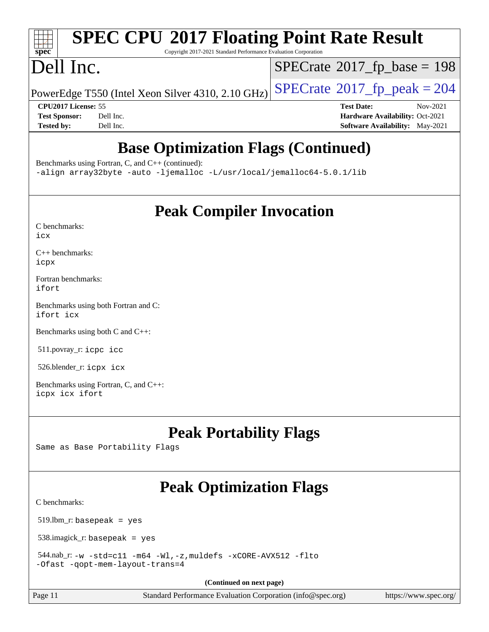### $\pm$   $\prime$ **[spec](http://www.spec.org/)**

# **[SPEC CPU](http://www.spec.org/auto/cpu2017/Docs/result-fields.html#SPECCPU2017FloatingPointRateResult)[2017 Floating Point Rate Result](http://www.spec.org/auto/cpu2017/Docs/result-fields.html#SPECCPU2017FloatingPointRateResult)**

Copyright 2017-2021 Standard Performance Evaluation Corporation

# Dell Inc.

 $SPECTate$ <sup>®</sup>[2017\\_fp\\_base =](http://www.spec.org/auto/cpu2017/Docs/result-fields.html#SPECrate2017fpbase) 198

PowerEdge T550 (Intel Xeon Silver 4310, 2.10 GHz)  $\left|$  [SPECrate](http://www.spec.org/auto/cpu2017/Docs/result-fields.html#SPECrate2017fppeak)®[2017\\_fp\\_peak = 2](http://www.spec.org/auto/cpu2017/Docs/result-fields.html#SPECrate2017fppeak)04

**[CPU2017 License:](http://www.spec.org/auto/cpu2017/Docs/result-fields.html#CPU2017License)** 55 **[Test Date:](http://www.spec.org/auto/cpu2017/Docs/result-fields.html#TestDate)** Nov-2021 **[Test Sponsor:](http://www.spec.org/auto/cpu2017/Docs/result-fields.html#TestSponsor)** Dell Inc. **[Hardware Availability:](http://www.spec.org/auto/cpu2017/Docs/result-fields.html#HardwareAvailability)** Oct-2021 **[Tested by:](http://www.spec.org/auto/cpu2017/Docs/result-fields.html#Testedby)** Dell Inc. **[Software Availability:](http://www.spec.org/auto/cpu2017/Docs/result-fields.html#SoftwareAvailability)** May-2021

# **[Base Optimization Flags \(Continued\)](http://www.spec.org/auto/cpu2017/Docs/result-fields.html#BaseOptimizationFlags)**

[Benchmarks using Fortran, C, and C++](http://www.spec.org/auto/cpu2017/Docs/result-fields.html#BenchmarksusingFortranCandCXX) (continued):

[-align array32byte](http://www.spec.org/cpu2017/results/res2021q4/cpu2017-20211122-30225.flags.html#user_CC_CXX_FCbase_align_array32byte_b982fe038af199962ba9a80c053b8342c548c85b40b8e86eb3cc33dee0d7986a4af373ac2d51c3f7cf710a18d62fdce2948f201cd044323541f22fc0fffc51b6) [-auto](http://www.spec.org/cpu2017/results/res2021q4/cpu2017-20211122-30225.flags.html#user_CC_CXX_FCbase_f-auto) [-ljemalloc](http://www.spec.org/cpu2017/results/res2021q4/cpu2017-20211122-30225.flags.html#user_CC_CXX_FCbase_jemalloc_link_lib_d1249b907c500fa1c0672f44f562e3d0f79738ae9e3c4a9c376d49f265a04b9c99b167ecedbf6711b3085be911c67ff61f150a17b3472be731631ba4d0471706) [-L/usr/local/jemalloc64-5.0.1/lib](http://www.spec.org/cpu2017/results/res2021q4/cpu2017-20211122-30225.flags.html#user_CC_CXX_FCbase_jemalloc_link_path64_1_cc289568b1a6c0fd3b62c91b824c27fcb5af5e8098e6ad028160d21144ef1b8aef3170d2acf0bee98a8da324cfe4f67d0a3d0c4cc4673d993d694dc2a0df248b)

**[Peak Compiler Invocation](http://www.spec.org/auto/cpu2017/Docs/result-fields.html#PeakCompilerInvocation)**

| C benchmarks: |  |
|---------------|--|
| icx           |  |

[C++ benchmarks:](http://www.spec.org/auto/cpu2017/Docs/result-fields.html#CXXbenchmarks) [icpx](http://www.spec.org/cpu2017/results/res2021q4/cpu2017-20211122-30225.flags.html#user_CXXpeak_intel_icpx_1e918ed14c436bf4b9b7c8bcdd51d4539fc71b3df010bd1e9f8732d9c34c2b2914e48204a846820f3c0ebb4095dea797a5c30b458ac0b6dffac65d78f781f5ca)

[Fortran benchmarks](http://www.spec.org/auto/cpu2017/Docs/result-fields.html#Fortranbenchmarks): [ifort](http://www.spec.org/cpu2017/results/res2021q4/cpu2017-20211122-30225.flags.html#user_FCpeak_intel_ifort_8111460550e3ca792625aed983ce982f94888b8b503583aa7ba2b8303487b4d8a21a13e7191a45c5fd58ff318f48f9492884d4413fa793fd88dd292cad7027ca)

[Benchmarks using both Fortran and C](http://www.spec.org/auto/cpu2017/Docs/result-fields.html#BenchmarksusingbothFortranandC): [ifort](http://www.spec.org/cpu2017/results/res2021q4/cpu2017-20211122-30225.flags.html#user_CC_FCpeak_intel_ifort_8111460550e3ca792625aed983ce982f94888b8b503583aa7ba2b8303487b4d8a21a13e7191a45c5fd58ff318f48f9492884d4413fa793fd88dd292cad7027ca) [icx](http://www.spec.org/cpu2017/results/res2021q4/cpu2017-20211122-30225.flags.html#user_CC_FCpeak_intel_icx_fe2d28d19ae2a5db7c42fe0f2a2aed77cb715edd4aeb23434404a8be6683fe239869bb6ca8154ca98265c2e3b9226a719a0efe2953a4a7018c379b7010ccf087)

[Benchmarks using both C and C++](http://www.spec.org/auto/cpu2017/Docs/result-fields.html#BenchmarksusingbothCandCXX):

511.povray\_r: [icpc](http://www.spec.org/cpu2017/results/res2021q4/cpu2017-20211122-30225.flags.html#user_peakCXXLD511_povray_r_intel_icpc_c510b6838c7f56d33e37e94d029a35b4a7bccf4766a728ee175e80a419847e808290a9b78be685c44ab727ea267ec2f070ec5dc83b407c0218cded6866a35d07) [icc](http://www.spec.org/cpu2017/results/res2021q4/cpu2017-20211122-30225.flags.html#user_peakCC511_povray_r_intel_icc_66fc1ee009f7361af1fbd72ca7dcefbb700085f36577c54f309893dd4ec40d12360134090235512931783d35fd58c0460139e722d5067c5574d8eaf2b3e37e92)

526.blender\_r: [icpx](http://www.spec.org/cpu2017/results/res2021q4/cpu2017-20211122-30225.flags.html#user_peakCXXLD526_blender_r_intel_icpx_1e918ed14c436bf4b9b7c8bcdd51d4539fc71b3df010bd1e9f8732d9c34c2b2914e48204a846820f3c0ebb4095dea797a5c30b458ac0b6dffac65d78f781f5ca) [icx](http://www.spec.org/cpu2017/results/res2021q4/cpu2017-20211122-30225.flags.html#user_peakCC526_blender_r_intel_icx_fe2d28d19ae2a5db7c42fe0f2a2aed77cb715edd4aeb23434404a8be6683fe239869bb6ca8154ca98265c2e3b9226a719a0efe2953a4a7018c379b7010ccf087)

[Benchmarks using Fortran, C, and C++:](http://www.spec.org/auto/cpu2017/Docs/result-fields.html#BenchmarksusingFortranCandCXX) [icpx](http://www.spec.org/cpu2017/results/res2021q4/cpu2017-20211122-30225.flags.html#user_CC_CXX_FCpeak_intel_icpx_1e918ed14c436bf4b9b7c8bcdd51d4539fc71b3df010bd1e9f8732d9c34c2b2914e48204a846820f3c0ebb4095dea797a5c30b458ac0b6dffac65d78f781f5ca) [icx](http://www.spec.org/cpu2017/results/res2021q4/cpu2017-20211122-30225.flags.html#user_CC_CXX_FCpeak_intel_icx_fe2d28d19ae2a5db7c42fe0f2a2aed77cb715edd4aeb23434404a8be6683fe239869bb6ca8154ca98265c2e3b9226a719a0efe2953a4a7018c379b7010ccf087) [ifort](http://www.spec.org/cpu2017/results/res2021q4/cpu2017-20211122-30225.flags.html#user_CC_CXX_FCpeak_intel_ifort_8111460550e3ca792625aed983ce982f94888b8b503583aa7ba2b8303487b4d8a21a13e7191a45c5fd58ff318f48f9492884d4413fa793fd88dd292cad7027ca)

### **[Peak Portability Flags](http://www.spec.org/auto/cpu2017/Docs/result-fields.html#PeakPortabilityFlags)**

Same as Base Portability Flags

# **[Peak Optimization Flags](http://www.spec.org/auto/cpu2017/Docs/result-fields.html#PeakOptimizationFlags)**

[C benchmarks](http://www.spec.org/auto/cpu2017/Docs/result-fields.html#Cbenchmarks):

519.lbm\_r: basepeak = yes

538.imagick\_r: basepeak = yes

 544.nab\_r: [-w](http://www.spec.org/cpu2017/results/res2021q4/cpu2017-20211122-30225.flags.html#user_peakCCLD544_nab_r_supress_warning_66fb2c4e5c1dd10f38bdd29623979399e5ae75ae6e5453792d82ef66afed381df4a8602f92cac8d2ea0fffa7b93b4b1ccb9ecad4af01c9b2fe338b2082ae3859) [-std=c11](http://www.spec.org/cpu2017/results/res2021q4/cpu2017-20211122-30225.flags.html#user_peakCCLD544_nab_r_std-icc-std_0e1c27790398a4642dfca32ffe6c27b5796f9c2d2676156f2e42c9c44eaad0c049b1cdb667a270c34d979996257aeb8fc440bfb01818dbc9357bd9d174cb8524) [-m64](http://www.spec.org/cpu2017/results/res2021q4/cpu2017-20211122-30225.flags.html#user_peakCCLD544_nab_r_m64-icc) [-Wl,-z,muldefs](http://www.spec.org/cpu2017/results/res2021q4/cpu2017-20211122-30225.flags.html#user_peakEXTRA_LDFLAGS544_nab_r_link_force_multiple1_b4cbdb97b34bdee9ceefcfe54f4c8ea74255f0b02a4b23e853cdb0e18eb4525ac79b5a88067c842dd0ee6996c24547a27a4b99331201badda8798ef8a743f577) [-xCORE-AVX512](http://www.spec.org/cpu2017/results/res2021q4/cpu2017-20211122-30225.flags.html#user_peakCOPTIMIZE544_nab_r_f-xCORE-AVX512) [-flto](http://www.spec.org/cpu2017/results/res2021q4/cpu2017-20211122-30225.flags.html#user_peakCOPTIMIZE544_nab_r_f-flto) [-Ofast](http://www.spec.org/cpu2017/results/res2021q4/cpu2017-20211122-30225.flags.html#user_peakCOPTIMIZE544_nab_r_f-Ofast) [-qopt-mem-layout-trans=4](http://www.spec.org/cpu2017/results/res2021q4/cpu2017-20211122-30225.flags.html#user_peakCOPTIMIZE544_nab_r_f-qopt-mem-layout-trans_fa39e755916c150a61361b7846f310bcdf6f04e385ef281cadf3647acec3f0ae266d1a1d22d972a7087a248fd4e6ca390a3634700869573d231a252c784941a8)

**(Continued on next page)**

Page 11 Standard Performance Evaluation Corporation [\(info@spec.org\)](mailto:info@spec.org) <https://www.spec.org/>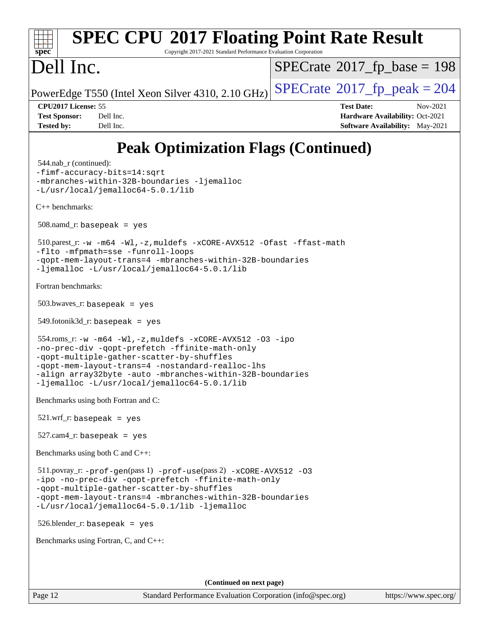### **[spec](http://www.spec.org/) [SPEC CPU](http://www.spec.org/auto/cpu2017/Docs/result-fields.html#SPECCPU2017FloatingPointRateResult)[2017 Floating Point Rate Result](http://www.spec.org/auto/cpu2017/Docs/result-fields.html#SPECCPU2017FloatingPointRateResult)** Copyright 2017-2021 Standard Performance Evaluation Corporation Dell Inc. PowerEdge T550 (Intel Xeon Silver 4310, 2.10 GHz)  $\left|$  [SPECrate](http://www.spec.org/auto/cpu2017/Docs/result-fields.html#SPECrate2017fppeak)®[2017\\_fp\\_peak = 2](http://www.spec.org/auto/cpu2017/Docs/result-fields.html#SPECrate2017fppeak)04  $SPECTate$ <sup>®</sup>[2017\\_fp\\_base =](http://www.spec.org/auto/cpu2017/Docs/result-fields.html#SPECrate2017fpbase) 198 **[CPU2017 License:](http://www.spec.org/auto/cpu2017/Docs/result-fields.html#CPU2017License)** 55 **[Test Date:](http://www.spec.org/auto/cpu2017/Docs/result-fields.html#TestDate)** Nov-2021 **[Test Sponsor:](http://www.spec.org/auto/cpu2017/Docs/result-fields.html#TestSponsor)** Dell Inc. **[Hardware Availability:](http://www.spec.org/auto/cpu2017/Docs/result-fields.html#HardwareAvailability)** Oct-2021 **[Tested by:](http://www.spec.org/auto/cpu2017/Docs/result-fields.html#Testedby)** Dell Inc. **[Software Availability:](http://www.spec.org/auto/cpu2017/Docs/result-fields.html#SoftwareAvailability)** May-2021 **[Peak Optimization Flags \(Continued\)](http://www.spec.org/auto/cpu2017/Docs/result-fields.html#PeakOptimizationFlags)** 544.nab\_r (continued): [-fimf-accuracy-bits=14:sqrt](http://www.spec.org/cpu2017/results/res2021q4/cpu2017-20211122-30225.flags.html#user_peakEXTRA_OPTIMIZE544_nab_r_f-imf-accuracy-bits_dec3764af0c61f52590ca8f859bc2b38948cb3a9f4bd45f959a8dd6743142ff5c0d5c89fdfba8d7c6d41a5122d7dc4d32797a5effd20a981baa30839b7373d7d) [-mbranches-within-32B-boundaries](http://www.spec.org/cpu2017/results/res2021q4/cpu2017-20211122-30225.flags.html#user_peakEXTRA_COPTIMIZE544_nab_r_f-mbranches-within-32B-boundaries) [-ljemalloc](http://www.spec.org/cpu2017/results/res2021q4/cpu2017-20211122-30225.flags.html#user_peakEXTRA_LIBS544_nab_r_jemalloc_link_lib_d1249b907c500fa1c0672f44f562e3d0f79738ae9e3c4a9c376d49f265a04b9c99b167ecedbf6711b3085be911c67ff61f150a17b3472be731631ba4d0471706) [-L/usr/local/jemalloc64-5.0.1/lib](http://www.spec.org/cpu2017/results/res2021q4/cpu2017-20211122-30225.flags.html#user_peakEXTRA_LIBS544_nab_r_jemalloc_link_path64_1_cc289568b1a6c0fd3b62c91b824c27fcb5af5e8098e6ad028160d21144ef1b8aef3170d2acf0bee98a8da324cfe4f67d0a3d0c4cc4673d993d694dc2a0df248b) [C++ benchmarks:](http://www.spec.org/auto/cpu2017/Docs/result-fields.html#CXXbenchmarks) 508.namd\_r: basepeak = yes 510.parest\_r: [-w](http://www.spec.org/cpu2017/results/res2021q4/cpu2017-20211122-30225.flags.html#user_peakCXXLD510_parest_r_supress_warning_66fb2c4e5c1dd10f38bdd29623979399e5ae75ae6e5453792d82ef66afed381df4a8602f92cac8d2ea0fffa7b93b4b1ccb9ecad4af01c9b2fe338b2082ae3859) [-m64](http://www.spec.org/cpu2017/results/res2021q4/cpu2017-20211122-30225.flags.html#user_peakCXXLD510_parest_r_m64-icc) [-Wl,-z,muldefs](http://www.spec.org/cpu2017/results/res2021q4/cpu2017-20211122-30225.flags.html#user_peakEXTRA_LDFLAGS510_parest_r_link_force_multiple1_b4cbdb97b34bdee9ceefcfe54f4c8ea74255f0b02a4b23e853cdb0e18eb4525ac79b5a88067c842dd0ee6996c24547a27a4b99331201badda8798ef8a743f577) [-xCORE-AVX512](http://www.spec.org/cpu2017/results/res2021q4/cpu2017-20211122-30225.flags.html#user_peakCXXOPTIMIZE510_parest_r_f-xCORE-AVX512) [-Ofast](http://www.spec.org/cpu2017/results/res2021q4/cpu2017-20211122-30225.flags.html#user_peakCXXOPTIMIZE510_parest_r_f-Ofast) [-ffast-math](http://www.spec.org/cpu2017/results/res2021q4/cpu2017-20211122-30225.flags.html#user_peakCXXOPTIMIZE510_parest_r_f-ffast-math) [-flto](http://www.spec.org/cpu2017/results/res2021q4/cpu2017-20211122-30225.flags.html#user_peakCXXOPTIMIZE510_parest_r_f-flto) [-mfpmath=sse](http://www.spec.org/cpu2017/results/res2021q4/cpu2017-20211122-30225.flags.html#user_peakCXXOPTIMIZE510_parest_r_f-mfpmath_70eb8fac26bde974f8ab713bc9086c5621c0b8d2f6c86f38af0bd7062540daf19db5f3a066d8c6684be05d84c9b6322eb3b5be6619d967835195b93d6c02afa1) [-funroll-loops](http://www.spec.org/cpu2017/results/res2021q4/cpu2017-20211122-30225.flags.html#user_peakCXXOPTIMIZE510_parest_r_f-funroll-loops) [-qopt-mem-layout-trans=4](http://www.spec.org/cpu2017/results/res2021q4/cpu2017-20211122-30225.flags.html#user_peakCXXOPTIMIZE510_parest_r_f-qopt-mem-layout-trans_fa39e755916c150a61361b7846f310bcdf6f04e385ef281cadf3647acec3f0ae266d1a1d22d972a7087a248fd4e6ca390a3634700869573d231a252c784941a8) [-mbranches-within-32B-boundaries](http://www.spec.org/cpu2017/results/res2021q4/cpu2017-20211122-30225.flags.html#user_peakEXTRA_CXXOPTIMIZE510_parest_r_f-mbranches-within-32B-boundaries) [-ljemalloc](http://www.spec.org/cpu2017/results/res2021q4/cpu2017-20211122-30225.flags.html#user_peakEXTRA_LIBS510_parest_r_jemalloc_link_lib_d1249b907c500fa1c0672f44f562e3d0f79738ae9e3c4a9c376d49f265a04b9c99b167ecedbf6711b3085be911c67ff61f150a17b3472be731631ba4d0471706) [-L/usr/local/jemalloc64-5.0.1/lib](http://www.spec.org/cpu2017/results/res2021q4/cpu2017-20211122-30225.flags.html#user_peakEXTRA_LIBS510_parest_r_jemalloc_link_path64_1_cc289568b1a6c0fd3b62c91b824c27fcb5af5e8098e6ad028160d21144ef1b8aef3170d2acf0bee98a8da324cfe4f67d0a3d0c4cc4673d993d694dc2a0df248b) [Fortran benchmarks](http://www.spec.org/auto/cpu2017/Docs/result-fields.html#Fortranbenchmarks): 503.bwaves\_r: basepeak = yes 549.fotonik3d\_r: basepeak = yes 554.roms\_r: [-w](http://www.spec.org/cpu2017/results/res2021q4/cpu2017-20211122-30225.flags.html#user_peakFCLD554_roms_r_supress_warning_66fb2c4e5c1dd10f38bdd29623979399e5ae75ae6e5453792d82ef66afed381df4a8602f92cac8d2ea0fffa7b93b4b1ccb9ecad4af01c9b2fe338b2082ae3859) [-m64](http://www.spec.org/cpu2017/results/res2021q4/cpu2017-20211122-30225.flags.html#user_peakFCLD554_roms_r_m64-icc) [-Wl,-z,muldefs](http://www.spec.org/cpu2017/results/res2021q4/cpu2017-20211122-30225.flags.html#user_peakEXTRA_LDFLAGS554_roms_r_link_force_multiple1_b4cbdb97b34bdee9ceefcfe54f4c8ea74255f0b02a4b23e853cdb0e18eb4525ac79b5a88067c842dd0ee6996c24547a27a4b99331201badda8798ef8a743f577) [-xCORE-AVX512](http://www.spec.org/cpu2017/results/res2021q4/cpu2017-20211122-30225.flags.html#user_peakFOPTIMIZE554_roms_r_f-xCORE-AVX512) [-O3](http://www.spec.org/cpu2017/results/res2021q4/cpu2017-20211122-30225.flags.html#user_peakFOPTIMIZE554_roms_r_f-O3) [-ipo](http://www.spec.org/cpu2017/results/res2021q4/cpu2017-20211122-30225.flags.html#user_peakFOPTIMIZE554_roms_r_f-ipo) [-no-prec-div](http://www.spec.org/cpu2017/results/res2021q4/cpu2017-20211122-30225.flags.html#user_peakFOPTIMIZE554_roms_r_f-no-prec-div) [-qopt-prefetch](http://www.spec.org/cpu2017/results/res2021q4/cpu2017-20211122-30225.flags.html#user_peakFOPTIMIZE554_roms_r_f-qopt-prefetch) [-ffinite-math-only](http://www.spec.org/cpu2017/results/res2021q4/cpu2017-20211122-30225.flags.html#user_peakFOPTIMIZE554_roms_r_f_finite_math_only_cb91587bd2077682c4b38af759c288ed7c732db004271a9512da14a4f8007909a5f1427ecbf1a0fb78ff2a814402c6114ac565ca162485bbcae155b5e4258871) [-qopt-multiple-gather-scatter-by-shuffles](http://www.spec.org/cpu2017/results/res2021q4/cpu2017-20211122-30225.flags.html#user_peakFOPTIMIZE554_roms_r_f-qopt-multiple-gather-scatter-by-shuffles) [-qopt-mem-layout-trans=4](http://www.spec.org/cpu2017/results/res2021q4/cpu2017-20211122-30225.flags.html#user_peakFOPTIMIZE554_roms_r_f-qopt-mem-layout-trans_fa39e755916c150a61361b7846f310bcdf6f04e385ef281cadf3647acec3f0ae266d1a1d22d972a7087a248fd4e6ca390a3634700869573d231a252c784941a8) [-nostandard-realloc-lhs](http://www.spec.org/cpu2017/results/res2021q4/cpu2017-20211122-30225.flags.html#user_peakEXTRA_FOPTIMIZE554_roms_r_f_2003_std_realloc_82b4557e90729c0f113870c07e44d33d6f5a304b4f63d4c15d2d0f1fab99f5daaed73bdb9275d9ae411527f28b936061aa8b9c8f2d63842963b95c9dd6426b8a) [-align array32byte](http://www.spec.org/cpu2017/results/res2021q4/cpu2017-20211122-30225.flags.html#user_peakEXTRA_FOPTIMIZE554_roms_r_align_array32byte_b982fe038af199962ba9a80c053b8342c548c85b40b8e86eb3cc33dee0d7986a4af373ac2d51c3f7cf710a18d62fdce2948f201cd044323541f22fc0fffc51b6) [-auto](http://www.spec.org/cpu2017/results/res2021q4/cpu2017-20211122-30225.flags.html#user_peakEXTRA_FOPTIMIZE554_roms_r_f-auto) [-mbranches-within-32B-boundaries](http://www.spec.org/cpu2017/results/res2021q4/cpu2017-20211122-30225.flags.html#user_peakEXTRA_FOPTIMIZE554_roms_r_f-mbranches-within-32B-boundaries) [-ljemalloc](http://www.spec.org/cpu2017/results/res2021q4/cpu2017-20211122-30225.flags.html#user_peakEXTRA_LIBS554_roms_r_jemalloc_link_lib_d1249b907c500fa1c0672f44f562e3d0f79738ae9e3c4a9c376d49f265a04b9c99b167ecedbf6711b3085be911c67ff61f150a17b3472be731631ba4d0471706) [-L/usr/local/jemalloc64-5.0.1/lib](http://www.spec.org/cpu2017/results/res2021q4/cpu2017-20211122-30225.flags.html#user_peakEXTRA_LIBS554_roms_r_jemalloc_link_path64_1_cc289568b1a6c0fd3b62c91b824c27fcb5af5e8098e6ad028160d21144ef1b8aef3170d2acf0bee98a8da324cfe4f67d0a3d0c4cc4673d993d694dc2a0df248b) [Benchmarks using both Fortran and C](http://www.spec.org/auto/cpu2017/Docs/result-fields.html#BenchmarksusingbothFortranandC):  $521.wrf$  r: basepeak = yes 527.cam4\_r: basepeak = yes [Benchmarks using both C and C++](http://www.spec.org/auto/cpu2017/Docs/result-fields.html#BenchmarksusingbothCandCXX): 511.povray\_r: [-prof-gen](http://www.spec.org/cpu2017/results/res2021q4/cpu2017-20211122-30225.flags.html#user_peakPASS1_CFLAGSPASS1_CXXFLAGSPASS1_LDFLAGS511_povray_r_prof_gen_5aa4926d6013ddb2a31985c654b3eb18169fc0c6952a63635c234f711e6e63dd76e94ad52365559451ec499a2cdb89e4dc58ba4c67ef54ca681ffbe1461d6b36)(pass 1) [-prof-use](http://www.spec.org/cpu2017/results/res2021q4/cpu2017-20211122-30225.flags.html#user_peakPASS2_CFLAGSPASS2_CXXFLAGSPASS2_LDFLAGS511_povray_r_prof_use_1a21ceae95f36a2b53c25747139a6c16ca95bd9def2a207b4f0849963b97e94f5260e30a0c64f4bb623698870e679ca08317ef8150905d41bd88c6f78df73f19)(pass 2) [-xCORE-AVX512](http://www.spec.org/cpu2017/results/res2021q4/cpu2017-20211122-30225.flags.html#user_peakCOPTIMIZECXXOPTIMIZE511_povray_r_f-xCORE-AVX512) [-O3](http://www.spec.org/cpu2017/results/res2021q4/cpu2017-20211122-30225.flags.html#user_peakCOPTIMIZECXXOPTIMIZE511_povray_r_f-O3) [-ipo](http://www.spec.org/cpu2017/results/res2021q4/cpu2017-20211122-30225.flags.html#user_peakCOPTIMIZECXXOPTIMIZE511_povray_r_f-ipo) [-no-prec-div](http://www.spec.org/cpu2017/results/res2021q4/cpu2017-20211122-30225.flags.html#user_peakCOPTIMIZECXXOPTIMIZE511_povray_r_f-no-prec-div) [-qopt-prefetch](http://www.spec.org/cpu2017/results/res2021q4/cpu2017-20211122-30225.flags.html#user_peakCOPTIMIZECXXOPTIMIZE511_povray_r_f-qopt-prefetch) [-ffinite-math-only](http://www.spec.org/cpu2017/results/res2021q4/cpu2017-20211122-30225.flags.html#user_peakCOPTIMIZECXXOPTIMIZE511_povray_r_f_finite_math_only_cb91587bd2077682c4b38af759c288ed7c732db004271a9512da14a4f8007909a5f1427ecbf1a0fb78ff2a814402c6114ac565ca162485bbcae155b5e4258871) [-qopt-multiple-gather-scatter-by-shuffles](http://www.spec.org/cpu2017/results/res2021q4/cpu2017-20211122-30225.flags.html#user_peakCOPTIMIZECXXOPTIMIZE511_povray_r_f-qopt-multiple-gather-scatter-by-shuffles) [-qopt-mem-layout-trans=4](http://www.spec.org/cpu2017/results/res2021q4/cpu2017-20211122-30225.flags.html#user_peakCOPTIMIZECXXOPTIMIZE511_povray_r_f-qopt-mem-layout-trans_fa39e755916c150a61361b7846f310bcdf6f04e385ef281cadf3647acec3f0ae266d1a1d22d972a7087a248fd4e6ca390a3634700869573d231a252c784941a8) [-mbranches-within-32B-boundaries](http://www.spec.org/cpu2017/results/res2021q4/cpu2017-20211122-30225.flags.html#user_peakEXTRA_COPTIMIZEEXTRA_CXXOPTIMIZE511_povray_r_f-mbranches-within-32B-boundaries) [-L/usr/local/jemalloc64-5.0.1/lib](http://www.spec.org/cpu2017/results/res2021q4/cpu2017-20211122-30225.flags.html#user_peakEXTRA_LIBS511_povray_r_jemalloc_link_path64_1_cc289568b1a6c0fd3b62c91b824c27fcb5af5e8098e6ad028160d21144ef1b8aef3170d2acf0bee98a8da324cfe4f67d0a3d0c4cc4673d993d694dc2a0df248b) [-ljemalloc](http://www.spec.org/cpu2017/results/res2021q4/cpu2017-20211122-30225.flags.html#user_peakEXTRA_LIBS511_povray_r_jemalloc_link_lib_d1249b907c500fa1c0672f44f562e3d0f79738ae9e3c4a9c376d49f265a04b9c99b167ecedbf6711b3085be911c67ff61f150a17b3472be731631ba4d0471706) 526.blender\_r: basepeak = yes [Benchmarks using Fortran, C, and C++:](http://www.spec.org/auto/cpu2017/Docs/result-fields.html#BenchmarksusingFortranCandCXX) **(Continued on next page)**